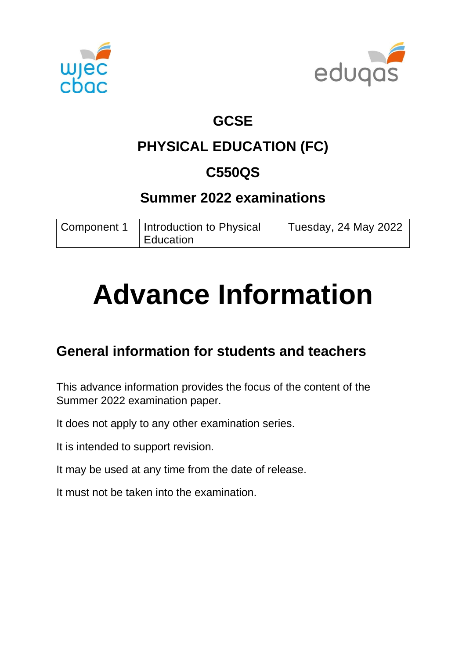



## **GCSE**

## **PHYSICAL EDUCATION (FC)**

## **C550QS**

## **Summer 2022 examinations**

| Component 1 | Introduction to Physical | Tuesday, 24 May 2022 |
|-------------|--------------------------|----------------------|
|             | Education                |                      |

# **Advance Information**

## **General information for students and teachers**

This advance information provides the focus of the content of the Summer 2022 examination paper.

It does not apply to any other examination series.

It is intended to support revision.

It may be used at any time from the date of release.

It must not be taken into the examination.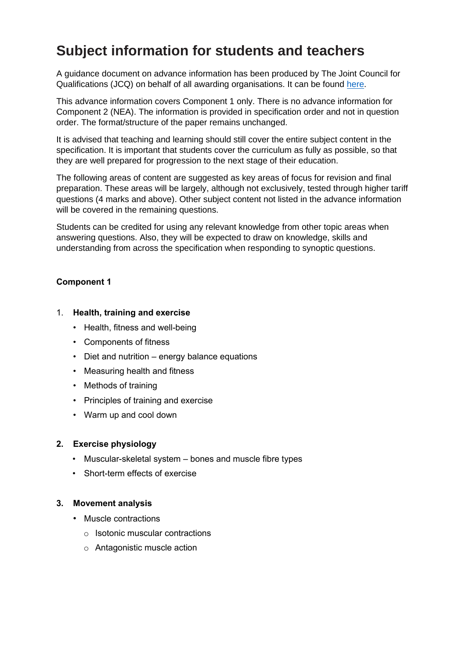## **Subject information for students and teachers**

A guidance document on advance information has been produced by The Joint Council for Qualifications (JCQ) on behalf of all awarding organisations. It can be found [here.](https://www.jcq.org.uk/wp-content/uploads/2021/10/Advance-Information-for-General-Qualifications-2021-22.pdf)

This advance information covers Component 1 only. There is no advance information for Component 2 (NEA). The information is provided in specification order and not in question order. The format/structure of the paper remains unchanged.

It is advised that teaching and learning should still cover the entire subject content in the specification. It is important that students cover the curriculum as fully as possible, so that they are well prepared for progression to the next stage of their education.

The following areas of content are suggested as key areas of focus for revision and final preparation. These areas will be largely, although not exclusively, tested through higher tariff questions (4 marks and above). Other subject content not listed in the advance information will be covered in the remaining questions.

Students can be credited for using any relevant knowledge from other topic areas when answering questions. Also, they will be expected to draw on knowledge, skills and understanding from across the specification when responding to synoptic questions.

#### **Component 1**

#### 1. **Health, training and exercise**

- Health, fitness and well-being
- Components of fitness
- Diet and nutrition energy balance equations
- Measuring health and fitness
- Methods of training
- Principles of training and exercise
- Warm up and cool down

#### **2. Exercise physiology**

- Muscular-skeletal system bones and muscle fibre types
- Short-term effects of exercise

#### **3. Movement analysis**

- Muscle contractions
	- $\circ$  Isotonic muscular contractions
	- o Antagonistic muscle action